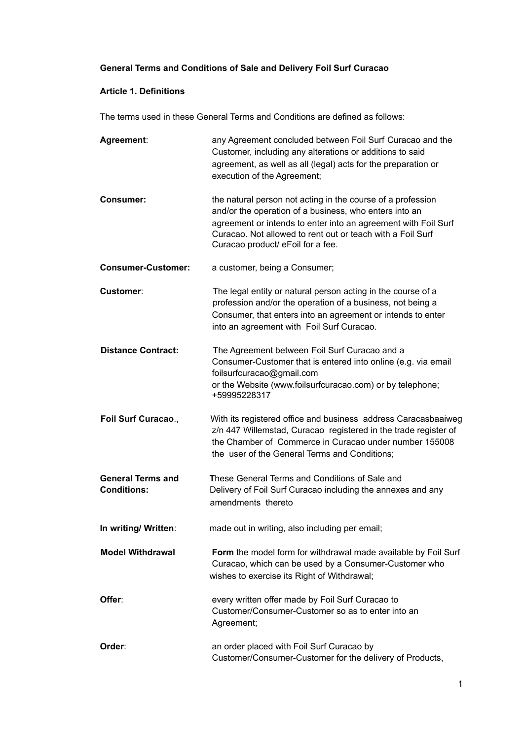# **General Terms and Conditions of Sale and Delivery Foil Surf Curacao**

### **Article 1. Definitions**

The terms used in these General Terms and Conditions are defined as follows:

| Agreement:                                     | any Agreement concluded between Foil Surf Curacao and the<br>Customer, including any alterations or additions to said<br>agreement, as well as all (legal) acts for the preparation or<br>execution of the Agreement;                                                                      |
|------------------------------------------------|--------------------------------------------------------------------------------------------------------------------------------------------------------------------------------------------------------------------------------------------------------------------------------------------|
| <b>Consumer:</b>                               | the natural person not acting in the course of a profession<br>and/or the operation of a business, who enters into an<br>agreement or intends to enter into an agreement with Foil Surf<br>Curacao. Not allowed to rent out or teach with a Foil Surf<br>Curacao product/ eFoil for a fee. |
| <b>Consumer-Customer:</b>                      | a customer, being a Consumer;                                                                                                                                                                                                                                                              |
| Customer:                                      | The legal entity or natural person acting in the course of a<br>profession and/or the operation of a business, not being a<br>Consumer, that enters into an agreement or intends to enter<br>into an agreement with Foil Surf Curacao.                                                     |
| <b>Distance Contract:</b>                      | The Agreement between Foil Surf Curacao and a<br>Consumer-Customer that is entered into online (e.g. via email<br>foilsurfcuracao@gmail.com<br>or the Website (www.foilsurfcuracao.com) or by telephone;<br>+59995228317                                                                   |
| Foil Surf Curacao.,                            | With its registered office and business address Caracasbaaiweg<br>z/n 447 Willemstad, Curacao registered in the trade register of<br>the Chamber of Commerce in Curacao under number 155008<br>the user of the General Terms and Conditions;                                               |
| <b>General Terms and</b><br><b>Conditions:</b> | These General Terms and Conditions of Sale and<br>Delivery of Foil Surf Curacao including the annexes and any<br>amendments thereto                                                                                                                                                        |
| In writing/ Written:                           | made out in writing, also including per email;                                                                                                                                                                                                                                             |
| <b>Model Withdrawal</b>                        | Form the model form for withdrawal made available by Foil Surf<br>Curacao, which can be used by a Consumer-Customer who<br>wishes to exercise its Right of Withdrawal;                                                                                                                     |
| Offer:                                         | every written offer made by Foil Surf Curacao to<br>Customer/Consumer-Customer so as to enter into an<br>Agreement;                                                                                                                                                                        |
| Order:                                         | an order placed with Foil Surf Curacao by<br>Customer/Consumer-Customer for the delivery of Products,                                                                                                                                                                                      |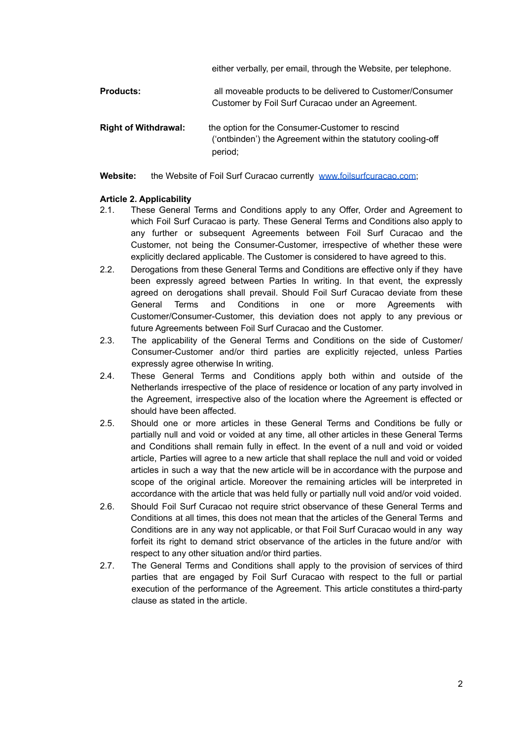either verbally, per email, through the Website, per telephone.

| <b>Products:</b>            | all moveable products to be delivered to Customer/Consumer<br>Customer by Foil Surf Curacao under an Agreement.            |
|-----------------------------|----------------------------------------------------------------------------------------------------------------------------|
| <b>Right of Withdrawal:</b> | the option for the Consumer-Customer to rescind<br>('ontbinden') the Agreement within the statutory cooling-off<br>period; |

Website: the Website of Foil Surf Curacao currently [www.foilsurfcuracao.com](http://www.foilsurfcuracao.com);

### **Article 2. Applicability**

- 2.1. These General Terms and Conditions apply to any Offer, Order and Agreement to which Foil Surf Curacao is party. These General Terms and Conditions also apply to any further or subsequent Agreements between Foil Surf Curacao and the Customer, not being the Consumer-Customer, irrespective of whether these were explicitly declared applicable. The Customer is considered to have agreed to this.
- 2.2. Derogations from these General Terms and Conditions are effective only if they have been expressly agreed between Parties In writing. In that event, the expressly agreed on derogations shall prevail. Should Foil Surf Curacao deviate from these General Terms and Conditions in one or more Agreements with Customer/Consumer-Customer, this deviation does not apply to any previous or future Agreements between Foil Surf Curacao and the Customer.
- 2.3. The applicability of the General Terms and Conditions on the side of Customer/ Consumer-Customer and/or third parties are explicitly rejected, unless Parties expressly agree otherwise In writing.
- 2.4. These General Terms and Conditions apply both within and outside of the Netherlands irrespective of the place of residence or location of any party involved in the Agreement, irrespective also of the location where the Agreement is effected or should have been affected.
- 2.5. Should one or more articles in these General Terms and Conditions be fully or partially null and void or voided at any time, all other articles in these General Terms and Conditions shall remain fully in effect. In the event of a null and void or voided article, Parties will agree to a new article that shall replace the null and void or voided articles in such a way that the new article will be in accordance with the purpose and scope of the original article. Moreover the remaining articles will be interpreted in accordance with the article that was held fully or partially null void and/or void voided.
- 2.6. Should Foil Surf Curacao not require strict observance of these General Terms and Conditions at all times, this does not mean that the articles of the General Terms and Conditions are in any way not applicable, or that Foil Surf Curacao would in any way forfeit its right to demand strict observance of the articles in the future and/or with respect to any other situation and/or third parties.
- 2.7. The General Terms and Conditions shall apply to the provision of services of third parties that are engaged by Foil Surf Curacao with respect to the full or partial execution of the performance of the Agreement. This article constitutes a third-party clause as stated in the article.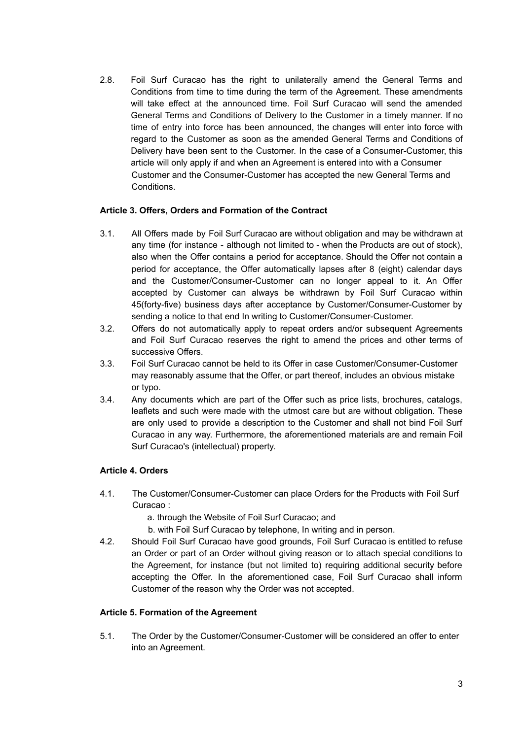2.8. Foil Surf Curacao has the right to unilaterally amend the General Terms and Conditions from time to time during the term of the Agreement. These amendments will take effect at the announced time. Foil Surf Curacao will send the amended General Terms and Conditions of Delivery to the Customer in a timely manner. If no time of entry into force has been announced, the changes will enter into force with regard to the Customer as soon as the amended General Terms and Conditions of Delivery have been sent to the Customer. In the case of a Consumer-Customer, this article will only apply if and when an Agreement is entered into with a Consumer Customer and the Consumer-Customer has accepted the new General Terms and Conditions.

### **Article 3. Offers, Orders and Formation of the Contract**

- 3.1. All Offers made by Foil Surf Curacao are without obligation and may be withdrawn at any time (for instance - although not limited to - when the Products are out of stock), also when the Offer contains a period for acceptance. Should the Offer not contain a period for acceptance, the Offer automatically lapses after 8 (eight) calendar days and the Customer/Consumer-Customer can no longer appeal to it. An Offer accepted by Customer can always be withdrawn by Foil Surf Curacao within 45(forty-five) business days after acceptance by Customer/Consumer-Customer by sending a notice to that end In writing to Customer/Consumer-Customer.
- 3.2. Offers do not automatically apply to repeat orders and/or subsequent Agreements and Foil Surf Curacao reserves the right to amend the prices and other terms of successive Offers.
- 3.3. Foil Surf Curacao cannot be held to its Offer in case Customer/Consumer-Customer may reasonably assume that the Offer, or part thereof, includes an obvious mistake or typo.
- 3.4. Any documents which are part of the Offer such as price lists, brochures, catalogs, leaflets and such were made with the utmost care but are without obligation. These are only used to provide a description to the Customer and shall not bind Foil Surf Curacao in any way. Furthermore, the aforementioned materials are and remain Foil Surf Curacao's (intellectual) property.

# **Article 4. Orders**

- 4.1. The Customer/Consumer-Customer can place Orders for the Products with Foil Surf Curacao :
	- a. through the Website of Foil Surf Curacao; and
	- b. with Foil Surf Curacao by telephone, In writing and in person.
- 4.2. Should Foil Surf Curacao have good grounds, Foil Surf Curacao is entitled to refuse an Order or part of an Order without giving reason or to attach special conditions to the Agreement, for instance (but not limited to) requiring additional security before accepting the Offer. In the aforementioned case, Foil Surf Curacao shall inform Customer of the reason why the Order was not accepted.

### **Article 5. Formation of the Agreement**

5.1. The Order by the Customer/Consumer-Customer will be considered an offer to enter into an Agreement.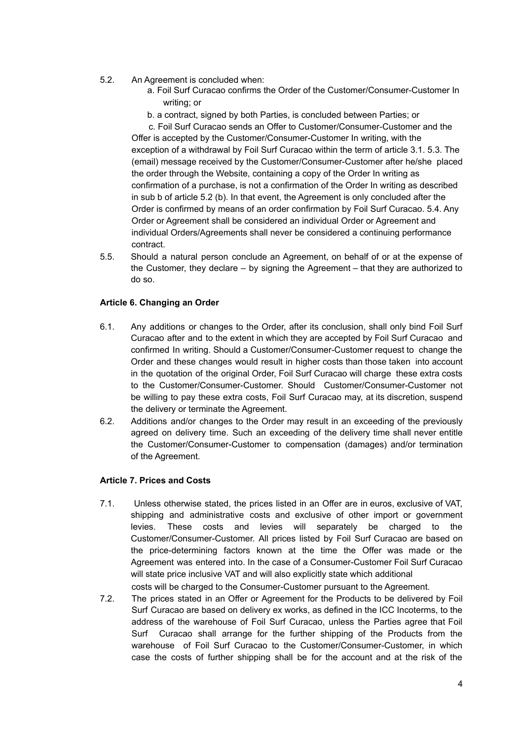- 5.2. An Agreement is concluded when:
	- a. Foil Surf Curacao confirms the Order of the Customer/Consumer-Customer In writing; or
	- b. a contract, signed by both Parties, is concluded between Parties; or

c. Foil Surf Curacao sends an Offer to Customer/Consumer-Customer and the Offer is accepted by the Customer/Consumer-Customer In writing, with the exception of a withdrawal by Foil Surf Curacao within the term of article 3.1. 5.3. The (email) message received by the Customer/Consumer-Customer after he/she placed the order through the Website, containing a copy of the Order In writing as confirmation of a purchase, is not a confirmation of the Order In writing as described in sub b of article 5.2 (b). In that event, the Agreement is only concluded after the Order is confirmed by means of an order confirmation by Foil Surf Curacao. 5.4. Any Order or Agreement shall be considered an individual Order or Agreement and individual Orders/Agreements shall never be considered a continuing performance contract.

5.5. Should a natural person conclude an Agreement, on behalf of or at the expense of the Customer, they declare – by signing the Agreement – that they are authorized to do so.

# **Article 6. Changing an Order**

- 6.1. Any additions or changes to the Order, after its conclusion, shall only bind Foil Surf Curacao after and to the extent in which they are accepted by Foil Surf Curacao and confirmed In writing. Should a Customer/Consumer-Customer request to change the Order and these changes would result in higher costs than those taken into account in the quotation of the original Order, Foil Surf Curacao will charge these extra costs to the Customer/Consumer-Customer. Should Customer/Consumer-Customer not be willing to pay these extra costs, Foil Surf Curacao may, at its discretion, suspend the delivery or terminate the Agreement.
- 6.2. Additions and/or changes to the Order may result in an exceeding of the previously agreed on delivery time. Such an exceeding of the delivery time shall never entitle the Customer/Consumer-Customer to compensation (damages) and/or termination of the Agreement.

### **Article 7. Prices and Costs**

- 7.1. Unless otherwise stated, the prices listed in an Offer are in euros, exclusive of VAT, shipping and administrative costs and exclusive of other import or government levies. These costs and levies will separately be charged to the Customer/Consumer-Customer. All prices listed by Foil Surf Curacao are based on the price-determining factors known at the time the Offer was made or the Agreement was entered into. In the case of a Consumer-Customer Foil Surf Curacao will state price inclusive VAT and will also explicitly state which additional
- costs will be charged to the Consumer-Customer pursuant to the Agreement.
- 7.2. The prices stated in an Offer or Agreement for the Products to be delivered by Foil Surf Curacao are based on delivery ex works, as defined in the ICC Incoterms, to the address of the warehouse of Foil Surf Curacao, unless the Parties agree that Foil Surf Curacao shall arrange for the further shipping of the Products from the warehouse of Foil Surf Curacao to the Customer/Consumer-Customer, in which case the costs of further shipping shall be for the account and at the risk of the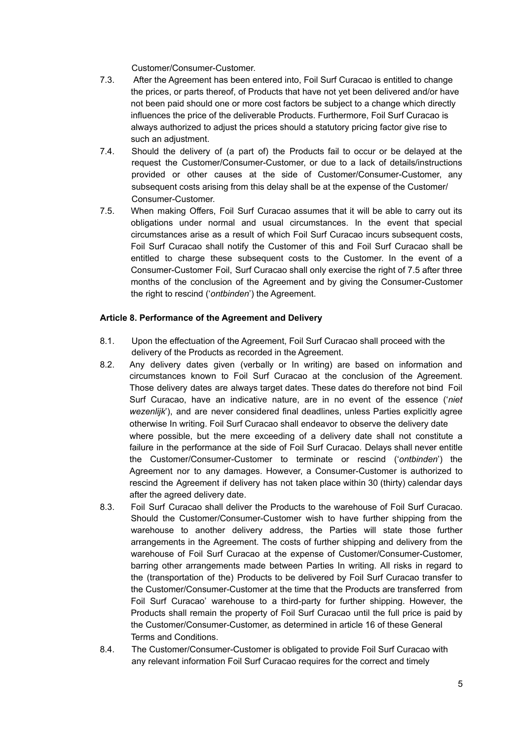Customer/Consumer-Customer.

- 7.3. After the Agreement has been entered into, Foil Surf Curacao is entitled to change the prices, or parts thereof, of Products that have not yet been delivered and/or have not been paid should one or more cost factors be subject to a change which directly influences the price of the deliverable Products. Furthermore, Foil Surf Curacao is always authorized to adjust the prices should a statutory pricing factor give rise to such an adjustment.
- 7.4. Should the delivery of (a part of) the Products fail to occur or be delayed at the request the Customer/Consumer-Customer, or due to a lack of details/instructions provided or other causes at the side of Customer/Consumer-Customer, any subsequent costs arising from this delay shall be at the expense of the Customer/ Consumer-Customer.
- 7.5. When making Offers, Foil Surf Curacao assumes that it will be able to carry out its obligations under normal and usual circumstances. In the event that special circumstances arise as a result of which Foil Surf Curacao incurs subsequent costs, Foil Surf Curacao shall notify the Customer of this and Foil Surf Curacao shall be entitled to charge these subsequent costs to the Customer. In the event of a Consumer-Customer Foil, Surf Curacao shall only exercise the right of 7.5 after three months of the conclusion of the Agreement and by giving the Consumer-Customer the right to rescind ('*ontbinden*') the Agreement.

# **Article 8. Performance of the Agreement and Delivery**

- 8.1. Upon the effectuation of the Agreement, Foil Surf Curacao shall proceed with the delivery of the Products as recorded in the Agreement.
- 8.2. Any delivery dates given (verbally or In writing) are based on information and circumstances known to Foil Surf Curacao at the conclusion of the Agreement. Those delivery dates are always target dates. These dates do therefore not bind Foil Surf Curacao, have an indicative nature, are in no event of the essence ('*niet wezenlijk*'), and are never considered final deadlines, unless Parties explicitly agree otherwise In writing. Foil Surf Curacao shall endeavor to observe the delivery date where possible, but the mere exceeding of a delivery date shall not constitute a failure in the performance at the side of Foil Surf Curacao. Delays shall never entitle the Customer/Consumer-Customer to terminate or rescind ('*ontbinden*') the Agreement nor to any damages. However, a Consumer-Customer is authorized to rescind the Agreement if delivery has not taken place within 30 (thirty) calendar days after the agreed delivery date.
- 8.3. Foil Surf Curacao shall deliver the Products to the warehouse of Foil Surf Curacao. Should the Customer/Consumer-Customer wish to have further shipping from the warehouse to another delivery address, the Parties will state those further arrangements in the Agreement. The costs of further shipping and delivery from the warehouse of Foil Surf Curacao at the expense of Customer/Consumer-Customer, barring other arrangements made between Parties In writing. All risks in regard to the (transportation of the) Products to be delivered by Foil Surf Curacao transfer to the Customer/Consumer-Customer at the time that the Products are transferred from Foil Surf Curacao' warehouse to a third-party for further shipping. However, the Products shall remain the property of Foil Surf Curacao until the full price is paid by the Customer/Consumer-Customer, as determined in article 16 of these General Terms and Conditions.
- 8.4. The Customer/Consumer-Customer is obligated to provide Foil Surf Curacao with any relevant information Foil Surf Curacao requires for the correct and timely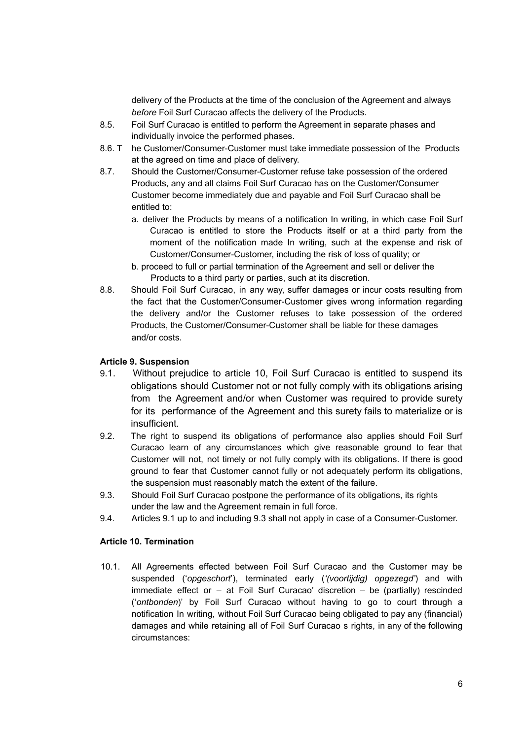delivery of the Products at the time of the conclusion of the Agreement and always *before* Foil Surf Curacao affects the delivery of the Products.

- 8.5. Foil Surf Curacao is entitled to perform the Agreement in separate phases and individually invoice the performed phases.
- 8.6. T he Customer/Consumer-Customer must take immediate possession of the Products at the agreed on time and place of delivery.
- 8.7. Should the Customer/Consumer-Customer refuse take possession of the ordered Products, any and all claims Foil Surf Curacao has on the Customer/Consumer Customer become immediately due and payable and Foil Surf Curacao shall be entitled to:
	- a. deliver the Products by means of a notification In writing, in which case Foil Surf Curacao is entitled to store the Products itself or at a third party from the moment of the notification made In writing, such at the expense and risk of Customer/Consumer-Customer, including the risk of loss of quality; or
	- b. proceed to full or partial termination of the Agreement and sell or deliver the Products to a third party or parties, such at its discretion.
- 8.8. Should Foil Surf Curacao, in any way, suffer damages or incur costs resulting from the fact that the Customer/Consumer-Customer gives wrong information regarding the delivery and/or the Customer refuses to take possession of the ordered Products, the Customer/Consumer-Customer shall be liable for these damages and/or costs.

# **Article 9. Suspension**

- 9.1. Without prejudice to article 10, Foil Surf Curacao is entitled to suspend its obligations should Customer not or not fully comply with its obligations arising from the Agreement and/or when Customer was required to provide surety for its performance of the Agreement and this surety fails to materialize or is insufficient.
- 9.2. The right to suspend its obligations of performance also applies should Foil Surf Curacao learn of any circumstances which give reasonable ground to fear that Customer will not, not timely or not fully comply with its obligations. If there is good ground to fear that Customer cannot fully or not adequately perform its obligations, the suspension must reasonably match the extent of the failure.
- 9.3. Should Foil Surf Curacao postpone the performance of its obligations, its rights under the law and the Agreement remain in full force.
- 9.4. Articles 9.1 up to and including 9.3 shall not apply in case of a Consumer-Customer.

### **Article 10. Termination**

10.1. All Agreements effected between Foil Surf Curacao and the Customer may be suspended ('*opgeschort*'), terminated early (*'(voortijdig) opgezegd'*) and with immediate effect or – at Foil Surf Curacao' discretion – be (partially) rescinded ('*ontbonden*)' by Foil Surf Curacao without having to go to court through a notification In writing, without Foil Surf Curacao being obligated to pay any (financial) damages and while retaining all of Foil Surf Curacao s rights, in any of the following circumstances: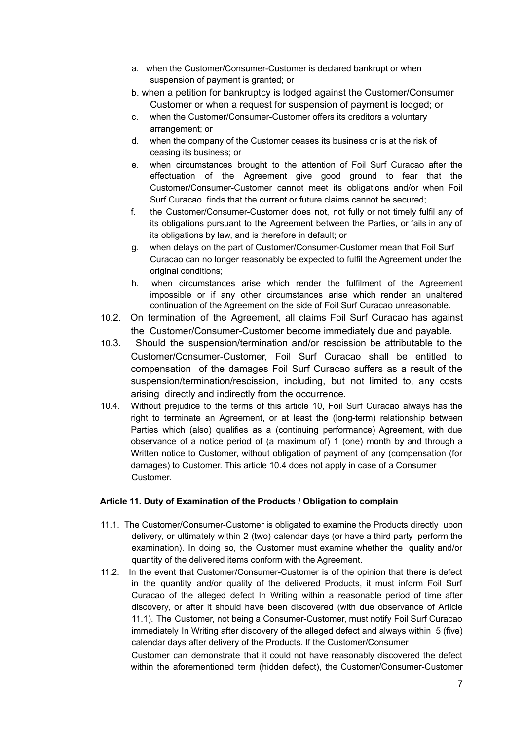- a. when the Customer/Consumer-Customer is declared bankrupt or when suspension of payment is granted; or
- b. when a petition for bankruptcy is lodged against the Customer/Consumer Customer or when a request for suspension of payment is lodged; or
- c. when the Customer/Consumer-Customer offers its creditors a voluntary arrangement; or
- d. when the company of the Customer ceases its business or is at the risk of ceasing its business; or
- e. when circumstances brought to the attention of Foil Surf Curacao after the effectuation of the Agreement give good ground to fear that the Customer/Consumer-Customer cannot meet its obligations and/or when Foil Surf Curacao finds that the current or future claims cannot be secured;
- f. the Customer/Consumer-Customer does not, not fully or not timely fulfil any of its obligations pursuant to the Agreement between the Parties, or fails in any of its obligations by law, and is therefore in default; or
- g. when delays on the part of Customer/Consumer-Customer mean that Foil Surf Curacao can no longer reasonably be expected to fulfil the Agreement under the original conditions;
- h. when circumstances arise which render the fulfilment of the Agreement impossible or if any other circumstances arise which render an unaltered continuation of the Agreement on the side of Foil Surf Curacao unreasonable.
- 10.2. On termination of the Agreement, all claims Foil Surf Curacao has against the Customer/Consumer-Customer become immediately due and payable.
- 10.3. Should the suspension/termination and/or rescission be attributable to the Customer/Consumer-Customer, Foil Surf Curacao shall be entitled to compensation of the damages Foil Surf Curacao suffers as a result of the suspension/termination/rescission, including, but not limited to, any costs arising directly and indirectly from the occurrence.
- 10.4. Without prejudice to the terms of this article 10, Foil Surf Curacao always has the right to terminate an Agreement, or at least the (long-term) relationship between Parties which (also) qualifies as a (continuing performance) Agreement, with due observance of a notice period of (a maximum of) 1 (one) month by and through a Written notice to Customer, without obligation of payment of any (compensation (for damages) to Customer. This article 10.4 does not apply in case of a Consumer Customer.

# **Article 11. Duty of Examination of the Products / Obligation to complain**

- 11.1. The Customer/Consumer-Customer is obligated to examine the Products directly upon delivery, or ultimately within 2 (two) calendar days (or have a third party perform the examination). In doing so, the Customer must examine whether the quality and/or quantity of the delivered items conform with the Agreement.
- 11.2. In the event that Customer/Consumer-Customer is of the opinion that there is defect in the quantity and/or quality of the delivered Products, it must inform Foil Surf Curacao of the alleged defect In Writing within a reasonable period of time after discovery, or after it should have been discovered (with due observance of Article 11.1). The Customer, not being a Consumer-Customer, must notify Foil Surf Curacao immediately In Writing after discovery of the alleged defect and always within 5 (five) calendar days after delivery of the Products. If the Customer/Consumer

Customer can demonstrate that it could not have reasonably discovered the defect within the aforementioned term (hidden defect), the Customer/Consumer-Customer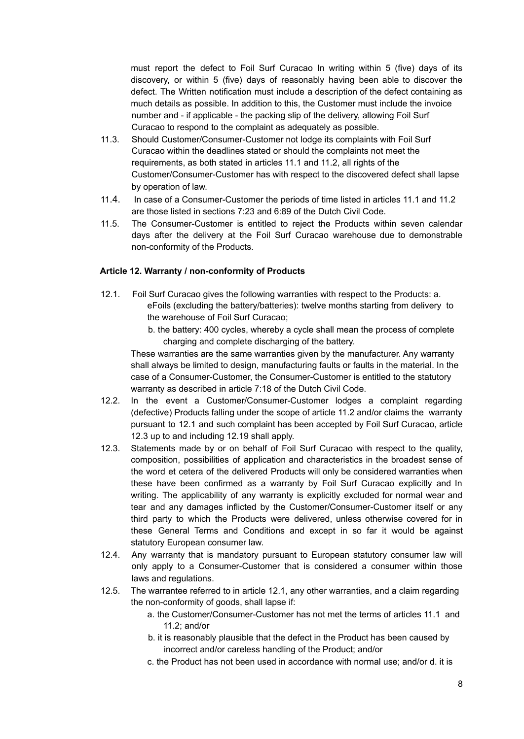must report the defect to Foil Surf Curacao In writing within 5 (five) days of its discovery, or within 5 (five) days of reasonably having been able to discover the defect. The Written notification must include a description of the defect containing as much details as possible. In addition to this, the Customer must include the invoice number and - if applicable - the packing slip of the delivery, allowing Foil Surf Curacao to respond to the complaint as adequately as possible.

- 11.3. Should Customer/Consumer-Customer not lodge its complaints with Foil Surf Curacao within the deadlines stated or should the complaints not meet the requirements, as both stated in articles 11.1 and 11.2, all rights of the Customer/Consumer-Customer has with respect to the discovered defect shall lapse by operation of law.
- 11.4. In case of a Consumer-Customer the periods of time listed in articles 11.1 and 11.2 are those listed in sections 7:23 and 6:89 of the Dutch Civil Code.
- 11.5. The Consumer-Customer is entitled to reject the Products within seven calendar days after the delivery at the Foil Surf Curacao warehouse due to demonstrable non-conformity of the Products.

### **Article 12. Warranty / non-conformity of Products**

- 12.1. Foil Surf Curacao gives the following warranties with respect to the Products: a. eFoils (excluding the battery/batteries): twelve months starting from delivery to the warehouse of Foil Surf Curacao;
	- b. the battery: 400 cycles, whereby a cycle shall mean the process of complete charging and complete discharging of the battery.

These warranties are the same warranties given by the manufacturer. Any warranty shall always be limited to design, manufacturing faults or faults in the material. In the case of a Consumer-Customer, the Consumer-Customer is entitled to the statutory warranty as described in article 7:18 of the Dutch Civil Code.

- 12.2. In the event a Customer/Consumer-Customer lodges a complaint regarding (defective) Products falling under the scope of article 11.2 and/or claims the warranty pursuant to 12.1 and such complaint has been accepted by Foil Surf Curacao, article 12.3 up to and including 12.19 shall apply.
- 12.3. Statements made by or on behalf of Foil Surf Curacao with respect to the quality, composition, possibilities of application and characteristics in the broadest sense of the word et cetera of the delivered Products will only be considered warranties when these have been confirmed as a warranty by Foil Surf Curacao explicitly and In writing. The applicability of any warranty is explicitly excluded for normal wear and tear and any damages inflicted by the Customer/Consumer-Customer itself or any third party to which the Products were delivered, unless otherwise covered for in these General Terms and Conditions and except in so far it would be against statutory European consumer law.
- 12.4. Any warranty that is mandatory pursuant to European statutory consumer law will only apply to a Consumer-Customer that is considered a consumer within those laws and regulations.
- 12.5. The warrantee referred to in article 12.1, any other warranties, and a claim regarding the non-conformity of goods, shall lapse if:
	- a. the Customer/Consumer-Customer has not met the terms of articles 11.1 and 11.2; and/or
	- b. it is reasonably plausible that the defect in the Product has been caused by incorrect and/or careless handling of the Product; and/or
	- c. the Product has not been used in accordance with normal use; and/or d. it is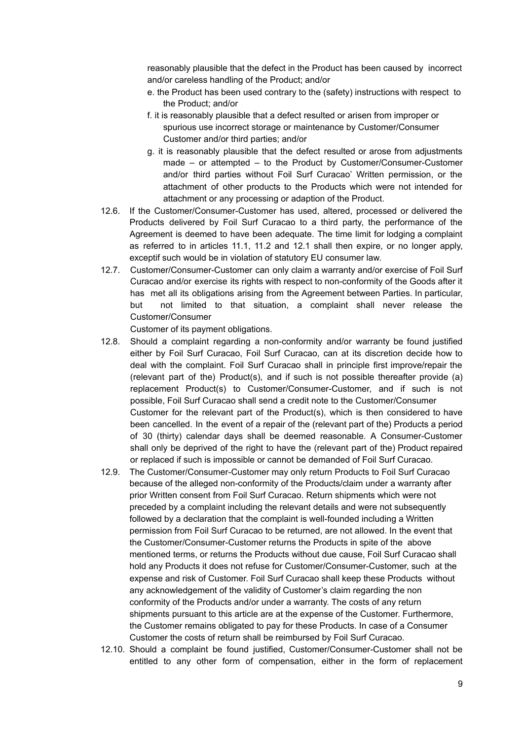reasonably plausible that the defect in the Product has been caused by incorrect and/or careless handling of the Product; and/or

- e. the Product has been used contrary to the (safety) instructions with respect to the Product; and/or
- f. it is reasonably plausible that a defect resulted or arisen from improper or spurious use incorrect storage or maintenance by Customer/Consumer Customer and/or third parties; and/or
- g. it is reasonably plausible that the defect resulted or arose from adjustments made – or attempted – to the Product by Customer/Consumer-Customer and/or third parties without Foil Surf Curacao' Written permission, or the attachment of other products to the Products which were not intended for attachment or any processing or adaption of the Product.
- 12.6. If the Customer/Consumer-Customer has used, altered, processed or delivered the Products delivered by Foil Surf Curacao to a third party, the performance of the Agreement is deemed to have been adequate. The time limit for lodging a complaint as referred to in articles 11.1, 11.2 and 12.1 shall then expire, or no longer apply, exceptif such would be in violation of statutory EU consumer law.
- 12.7. Customer/Consumer-Customer can only claim a warranty and/or exercise of Foil Surf Curacao and/or exercise its rights with respect to non-conformity of the Goods after it has met all its obligations arising from the Agreement between Parties. In particular, but not limited to that situation, a complaint shall never release the Customer/Consumer

Customer of its payment obligations.

- 12.8. Should a complaint regarding a non-conformity and/or warranty be found justified either by Foil Surf Curacao, Foil Surf Curacao, can at its discretion decide how to deal with the complaint. Foil Surf Curacao shall in principle first improve/repair the (relevant part of the) Product(s), and if such is not possible thereafter provide (a) replacement Product(s) to Customer/Consumer-Customer, and if such is not possible, Foil Surf Curacao shall send a credit note to the Customer/Consumer Customer for the relevant part of the Product(s), which is then considered to have been cancelled. In the event of a repair of the (relevant part of the) Products a period of 30 (thirty) calendar days shall be deemed reasonable. A Consumer-Customer shall only be deprived of the right to have the (relevant part of the) Product repaired or replaced if such is impossible or cannot be demanded of Foil Surf Curacao.
- 12.9. The Customer/Consumer-Customer may only return Products to Foil Surf Curacao because of the alleged non-conformity of the Products/claim under a warranty after prior Written consent from Foil Surf Curacao. Return shipments which were not preceded by a complaint including the relevant details and were not subsequently followed by a declaration that the complaint is well-founded including a Written permission from Foil Surf Curacao to be returned, are not allowed. In the event that the Customer/Consumer-Customer returns the Products in spite of the above mentioned terms, or returns the Products without due cause, Foil Surf Curacao shall hold any Products it does not refuse for Customer/Consumer-Customer, such at the expense and risk of Customer. Foil Surf Curacao shall keep these Products without any acknowledgement of the validity of Customer's claim regarding the non conformity of the Products and/or under a warranty. The costs of any return shipments pursuant to this article are at the expense of the Customer. Furthermore, the Customer remains obligated to pay for these Products. In case of a Consumer Customer the costs of return shall be reimbursed by Foil Surf Curacao.
- 12.10. Should a complaint be found justified, Customer/Consumer-Customer shall not be entitled to any other form of compensation, either in the form of replacement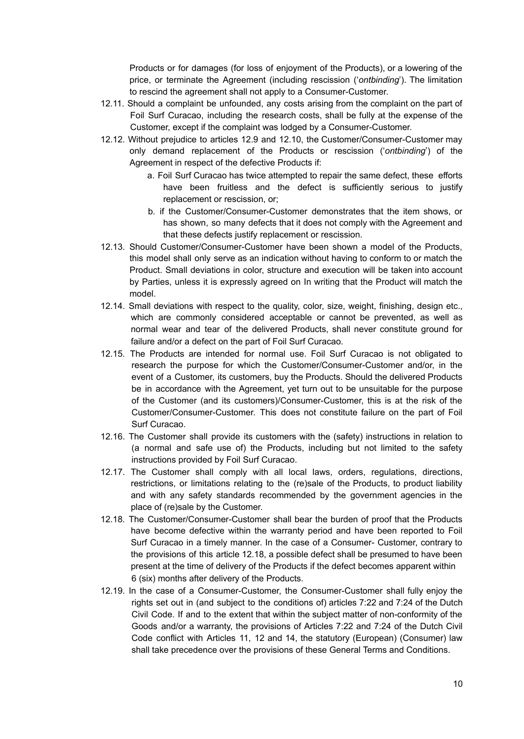Products or for damages (for loss of enjoyment of the Products), or a lowering of the price, or terminate the Agreement (including rescission ('*ontbinding*'). The limitation to rescind the agreement shall not apply to a Consumer-Customer.

- 12.11. Should a complaint be unfounded, any costs arising from the complaint on the part of Foil Surf Curacao, including the research costs, shall be fully at the expense of the Customer, except if the complaint was lodged by a Consumer-Customer.
- 12.12. Without prejudice to articles 12.9 and 12.10, the Customer/Consumer-Customer may only demand replacement of the Products or rescission ('*ontbinding*') of the Agreement in respect of the defective Products if:
	- a. Foil Surf Curacao has twice attempted to repair the same defect, these efforts have been fruitless and the defect is sufficiently serious to justify replacement or rescission, or;
	- b. if the Customer/Consumer-Customer demonstrates that the item shows, or has shown, so many defects that it does not comply with the Agreement and that these defects justify replacement or rescission.
- 12.13. Should Customer/Consumer-Customer have been shown a model of the Products, this model shall only serve as an indication without having to conform to or match the Product. Small deviations in color, structure and execution will be taken into account by Parties, unless it is expressly agreed on In writing that the Product will match the model.
- 12.14. Small deviations with respect to the quality, color, size, weight, finishing, design etc., which are commonly considered acceptable or cannot be prevented, as well as normal wear and tear of the delivered Products, shall never constitute ground for failure and/or a defect on the part of Foil Surf Curacao.
- 12.15. The Products are intended for normal use. Foil Surf Curacao is not obligated to research the purpose for which the Customer/Consumer-Customer and/or, in the event of a Customer, its customers, buy the Products. Should the delivered Products be in accordance with the Agreement, yet turn out to be unsuitable for the purpose of the Customer (and its customers)/Consumer-Customer, this is at the risk of the Customer/Consumer-Customer. This does not constitute failure on the part of Foil Surf Curacao.
- 12.16. The Customer shall provide its customers with the (safety) instructions in relation to (a normal and safe use of) the Products, including but not limited to the safety instructions provided by Foil Surf Curacao.
- 12.17. The Customer shall comply with all local laws, orders, regulations, directions, restrictions, or limitations relating to the (re)sale of the Products, to product liability and with any safety standards recommended by the government agencies in the place of (re)sale by the Customer.
- 12.18. The Customer/Consumer-Customer shall bear the burden of proof that the Products have become defective within the warranty period and have been reported to Foil Surf Curacao in a timely manner. In the case of a Consumer- Customer, contrary to the provisions of this article 12.18, a possible defect shall be presumed to have been present at the time of delivery of the Products if the defect becomes apparent within 6 (six) months after delivery of the Products.
- 12.19. In the case of a Consumer-Customer, the Consumer-Customer shall fully enjoy the rights set out in (and subject to the conditions of) articles 7:22 and 7:24 of the Dutch Civil Code. If and to the extent that within the subject matter of non-conformity of the Goods and/or a warranty, the provisions of Articles 7:22 and 7:24 of the Dutch Civil Code conflict with Articles 11, 12 and 14, the statutory (European) (Consumer) law shall take precedence over the provisions of these General Terms and Conditions.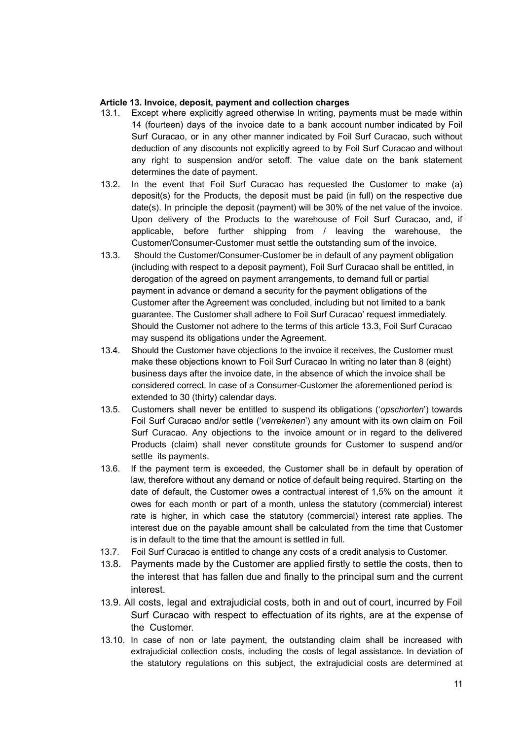### **Article 13. Invoice, deposit, payment and collection charges**

- 13.1. Except where explicitly agreed otherwise In writing, payments must be made within 14 (fourteen) days of the invoice date to a bank account number indicated by Foil Surf Curacao, or in any other manner indicated by Foil Surf Curacao, such without deduction of any discounts not explicitly agreed to by Foil Surf Curacao and without any right to suspension and/or setoff. The value date on the bank statement determines the date of payment.
- 13.2. In the event that Foil Surf Curacao has requested the Customer to make (a) deposit(s) for the Products, the deposit must be paid (in full) on the respective due date(s). In principle the deposit (payment) will be 30% of the net value of the invoice. Upon delivery of the Products to the warehouse of Foil Surf Curacao, and, if applicable, before further shipping from / leaving the warehouse, the Customer/Consumer-Customer must settle the outstanding sum of the invoice.
- 13.3. Should the Customer/Consumer-Customer be in default of any payment obligation (including with respect to a deposit payment), Foil Surf Curacao shall be entitled, in derogation of the agreed on payment arrangements, to demand full or partial payment in advance or demand a security for the payment obligations of the Customer after the Agreement was concluded, including but not limited to a bank guarantee. The Customer shall adhere to Foil Surf Curacao' request immediately. Should the Customer not adhere to the terms of this article 13.3, Foil Surf Curacao may suspend its obligations under the Agreement.
- 13.4. Should the Customer have objections to the invoice it receives, the Customer must make these objections known to Foil Surf Curacao In writing no later than 8 (eight) business days after the invoice date, in the absence of which the invoice shall be considered correct. In case of a Consumer-Customer the aforementioned period is extended to 30 (thirty) calendar days.
- 13.5. Customers shall never be entitled to suspend its obligations ('*opschorten*') towards Foil Surf Curacao and/or settle ('*verrekenen*') any amount with its own claim on Foil Surf Curacao. Any objections to the invoice amount or in regard to the delivered Products (claim) shall never constitute grounds for Customer to suspend and/or settle its payments.
- 13.6. If the payment term is exceeded, the Customer shall be in default by operation of law, therefore without any demand or notice of default being required. Starting on the date of default, the Customer owes a contractual interest of 1,5% on the amount it owes for each month or part of a month, unless the statutory (commercial) interest rate is higher, in which case the statutory (commercial) interest rate applies. The interest due on the payable amount shall be calculated from the time that Customer is in default to the time that the amount is settled in full.
- 13.7. Foil Surf Curacao is entitled to change any costs of a credit analysis to Customer.
- 13.8. Payments made by the Customer are applied firstly to settle the costs, then to the interest that has fallen due and finally to the principal sum and the current interest.
- 13.9. All costs, legal and extrajudicial costs, both in and out of court, incurred by Foil Surf Curacao with respect to effectuation of its rights, are at the expense of the Customer.
- 13.10. In case of non or late payment, the outstanding claim shall be increased with extrajudicial collection costs, including the costs of legal assistance. In deviation of the statutory regulations on this subject, the extrajudicial costs are determined at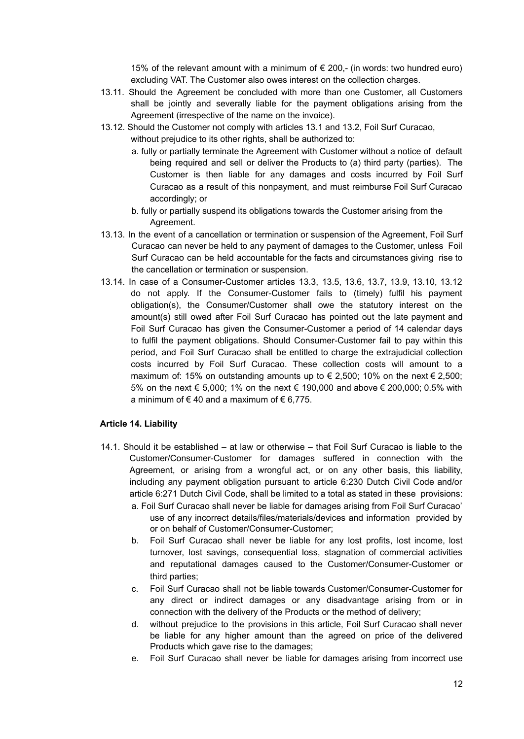15% of the relevant amount with a minimum of  $€$  200,- (in words: two hundred euro) excluding VAT. The Customer also owes interest on the collection charges.

- 13.11. Should the Agreement be concluded with more than one Customer, all Customers shall be jointly and severally liable for the payment obligations arising from the Agreement (irrespective of the name on the invoice).
- 13.12. Should the Customer not comply with articles 13.1 and 13.2, Foil Surf Curacao, without prejudice to its other rights, shall be authorized to:
	- a. fully or partially terminate the Agreement with Customer without a notice of default being required and sell or deliver the Products to (a) third party (parties). The Customer is then liable for any damages and costs incurred by Foil Surf Curacao as a result of this nonpayment, and must reimburse Foil Surf Curacao accordingly; or
	- b. fully or partially suspend its obligations towards the Customer arising from the Agreement.
- 13.13. In the event of a cancellation or termination or suspension of the Agreement, Foil Surf Curacao can never be held to any payment of damages to the Customer, unless Foil Surf Curacao can be held accountable for the facts and circumstances giving rise to the cancellation or termination or suspension.
- 13.14. In case of a Consumer-Customer articles 13.3, 13.5, 13.6, 13.7, 13.9, 13.10, 13.12 do not apply. If the Consumer-Customer fails to (timely) fulfil his payment obligation(s), the Consumer/Customer shall owe the statutory interest on the amount(s) still owed after Foil Surf Curacao has pointed out the late payment and Foil Surf Curacao has given the Consumer-Customer a period of 14 calendar days to fulfil the payment obligations. Should Consumer-Customer fail to pay within this period, and Foil Surf Curacao shall be entitled to charge the extrajudicial collection costs incurred by Foil Surf Curacao. These collection costs will amount to a maximum of: 15% on outstanding amounts up to  $\epsilon$  2,500; 10% on the next  $\epsilon$  2,500; 5% on the next € 5,000; 1% on the next € 190,000 and above € 200,000; 0.5% with a minimum of  $\in$  40 and a maximum of  $\in$  6,775.

### **Article 14. Liability**

- 14.1. Should it be established at law or otherwise that Foil Surf Curacao is liable to the Customer/Consumer-Customer for damages suffered in connection with the Agreement, or arising from a wrongful act, or on any other basis, this liability, including any payment obligation pursuant to article 6:230 Dutch Civil Code and/or article 6:271 Dutch Civil Code, shall be limited to a total as stated in these provisions:
	- a. Foil Surf Curacao shall never be liable for damages arising from Foil Surf Curacao' use of any incorrect details/files/materials/devices and information provided by or on behalf of Customer/Consumer-Customer;
	- b. Foil Surf Curacao shall never be liable for any lost profits, lost income, lost turnover, lost savings, consequential loss, stagnation of commercial activities and reputational damages caused to the Customer/Consumer-Customer or third parties;
	- c. Foil Surf Curacao shall not be liable towards Customer/Consumer-Customer for any direct or indirect damages or any disadvantage arising from or in connection with the delivery of the Products or the method of delivery;
	- d. without prejudice to the provisions in this article, Foil Surf Curacao shall never be liable for any higher amount than the agreed on price of the delivered Products which gave rise to the damages;
	- e. Foil Surf Curacao shall never be liable for damages arising from incorrect use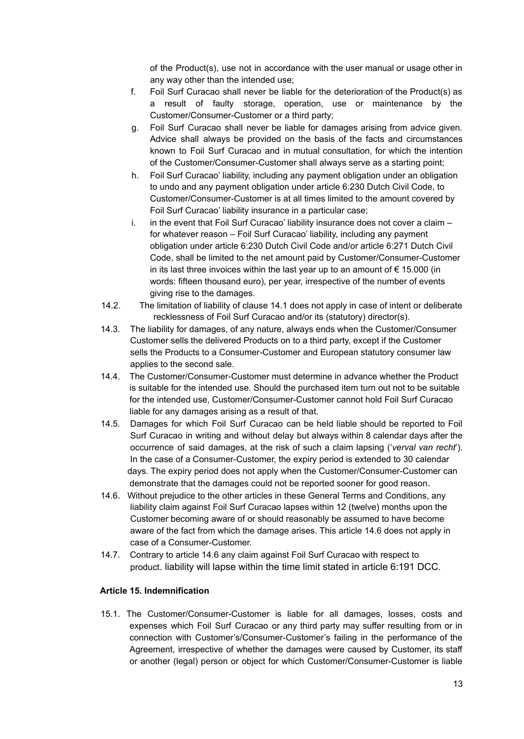of the Product(s), use not in accordance with the user manual or usage other in any way other than the intended use;

- f. Foil Surf Curacao shall never be liable for the deterioration of the Product(s) as a result of faulty storage, operation, use or maintenance by the Customer/Consumer-Customer or a third party;
- g. Foil Surf Curacao shall never be liable for damages arising from advice given. Advice shall always be provided on the basis of the facts and circumstances known to Foil Surf Curacao and in mutual consultation, for which the intention of the Customer/Consumer-Customer shall always serve as a starting point;
- h. Foil Surf Curacao' liability, including any payment obligation under an obligation to undo and any payment obligation under article 6:230 Dutch Civil Code, to Customer/Consumer-Customer is at all times limited to the amount covered by Foil Surf Curacao' liability insurance in a particular case;
- i. in the event that Foil Surf Curacao' liability insurance does not cover a claim for whatever reason – Foil Surf Curacao' liability, including any payment obligation under article 6:230 Dutch Civil Code and/or article 6:271 Dutch Civil Code, shall be limited to the net amount paid by Customer/Consumer-Customer in its last three invoices within the last year up to an amount of € 15.000 (in words: fifteen thousand euro), per year, irrespective of the number of events giving rise to the damages.
- 14.2. The limitation of liability of clause 14.1 does not apply in case of intent or deliberate recklessness of Foil Surf Curacao and/or its (statutory) director(s).
- 14.3. The liability for damages, of any nature, always ends when the Customer/Consumer Customer sells the delivered Products on to a third party, except if the Customer sells the Products to a Consumer-Customer and European statutory consumer law applies to the second sale.
- 14.4. The Customer/Consumer-Customer must determine in advance whether the Product is suitable for the intended use. Should the purchased item turn out not to be suitable for the intended use, Customer/Consumer-Customer cannot hold Foil Surf Curacao liable for any damages arising as a result of that.
- 14.5. Damages for which Foil Surf Curacao can be held liable should be reported to Foil Surf Curacao in writing and without delay but always within 8 calendar days after the occurrence of said damages, at the risk of such a claim lapsing ('*verval van recht*'). In the case of a Consumer-Customer, the expiry period is extended to 30 calendar days. The expiry period does not apply when the Customer/Consumer-Customer can demonstrate that the damages could not be reported sooner for good reason.
- 14.6. Without prejudice to the other articles in these General Terms and Conditions, any liability claim against Foil Surf Curacao lapses within 12 (twelve) months upon the Customer becoming aware of or should reasonably be assumed to have become aware of the fact from which the damage arises. This article 14.6 does not apply in case of a Consumer-Customer.
- 14.7. Contrary to article 14.6 any claim against Foil Surf Curacao with respect to product. liability will lapse within the time limit stated in article 6:191 DCC.

# **Article 15. Indemnification**

15.1. The Customer/Consumer-Customer is liable for all damages, losses, costs and expenses which Foil Surf Curacao or any third party may suffer resulting from or in connection with Customer's/Consumer-Customer's failing in the performance of the Agreement, irrespective of whether the damages were caused by Customer, its staff or another (legal) person or object for which Customer/Consumer-Customer is liable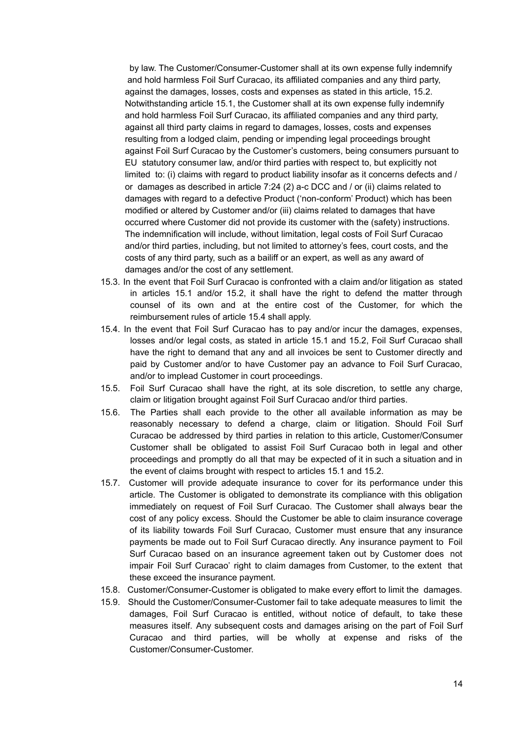by law. The Customer/Consumer-Customer shall at its own expense fully indemnify and hold harmless Foil Surf Curacao, its affiliated companies and any third party, against the damages, losses, costs and expenses as stated in this article, 15.2. Notwithstanding article 15.1, the Customer shall at its own expense fully indemnify and hold harmless Foil Surf Curacao, its affiliated companies and any third party, against all third party claims in regard to damages, losses, costs and expenses resulting from a lodged claim, pending or impending legal proceedings brought against Foil Surf Curacao by the Customer's customers, being consumers pursuant to EU statutory consumer law, and/or third parties with respect to, but explicitly not limited to: (i) claims with regard to product liability insofar as it concerns defects and / or damages as described in article 7:24 (2) a-c DCC and / or (ii) claims related to damages with regard to a defective Product ('non-conform' Product) which has been modified or altered by Customer and/or (iii) claims related to damages that have occurred where Customer did not provide its customer with the (safety) instructions. The indemnification will include, without limitation, legal costs of Foil Surf Curacao and/or third parties, including, but not limited to attorney's fees, court costs, and the costs of any third party, such as a bailiff or an expert, as well as any award of damages and/or the cost of any settlement.

- 15.3. In the event that Foil Surf Curacao is confronted with a claim and/or litigation as stated in articles 15.1 and/or 15.2, it shall have the right to defend the matter through counsel of its own and at the entire cost of the Customer, for which the reimbursement rules of article 15.4 shall apply.
- 15.4. In the event that Foil Surf Curacao has to pay and/or incur the damages, expenses, losses and/or legal costs, as stated in article 15.1 and 15.2, Foil Surf Curacao shall have the right to demand that any and all invoices be sent to Customer directly and paid by Customer and/or to have Customer pay an advance to Foil Surf Curacao, and/or to implead Customer in court proceedings.
- 15.5. Foil Surf Curacao shall have the right, at its sole discretion, to settle any charge, claim or litigation brought against Foil Surf Curacao and/or third parties.
- 15.6. The Parties shall each provide to the other all available information as may be reasonably necessary to defend a charge, claim or litigation. Should Foil Surf Curacao be addressed by third parties in relation to this article, Customer/Consumer Customer shall be obligated to assist Foil Surf Curacao both in legal and other proceedings and promptly do all that may be expected of it in such a situation and in the event of claims brought with respect to articles 15.1 and 15.2.
- 15.7. Customer will provide adequate insurance to cover for its performance under this article. The Customer is obligated to demonstrate its compliance with this obligation immediately on request of Foil Surf Curacao. The Customer shall always bear the cost of any policy excess. Should the Customer be able to claim insurance coverage of its liability towards Foil Surf Curacao, Customer must ensure that any insurance payments be made out to Foil Surf Curacao directly. Any insurance payment to Foil Surf Curacao based on an insurance agreement taken out by Customer does not impair Foil Surf Curacao' right to claim damages from Customer, to the extent that these exceed the insurance payment.
- 15.8. Customer/Consumer-Customer is obligated to make every effort to limit the damages.
- 15.9. Should the Customer/Consumer-Customer fail to take adequate measures to limit the damages, Foil Surf Curacao is entitled, without notice of default, to take these measures itself. Any subsequent costs and damages arising on the part of Foil Surf Curacao and third parties, will be wholly at expense and risks of the Customer/Consumer-Customer.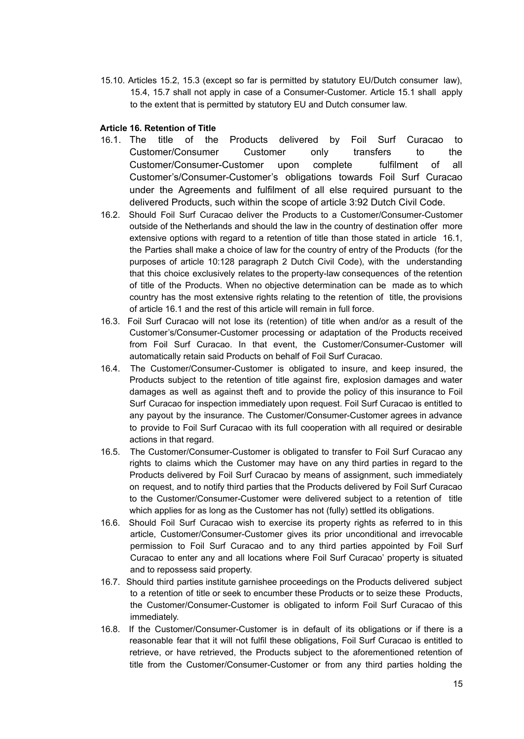15.10. Articles 15.2, 15.3 (except so far is permitted by statutory EU/Dutch consumer law), 15.4, 15.7 shall not apply in case of a Consumer-Customer. Article 15.1 shall apply to the extent that is permitted by statutory EU and Dutch consumer law.

### **Article 16. Retention of Title**

- 16.1. The title of the Products delivered by Foil Surf Curacao to Customer/Consumer Customer only transfers to the Customer/Consumer-Customer upon complete fulfilment of all Customer's/Consumer-Customer's obligations towards Foil Surf Curacao under the Agreements and fulfilment of all else required pursuant to the delivered Products, such within the scope of article 3:92 Dutch Civil Code.
- 16.2. Should Foil Surf Curacao deliver the Products to a Customer/Consumer-Customer outside of the Netherlands and should the law in the country of destination offer more extensive options with regard to a retention of title than those stated in article 16.1, the Parties shall make a choice of law for the country of entry of the Products (for the purposes of article 10:128 paragraph 2 Dutch Civil Code), with the understanding that this choice exclusively relates to the property-law consequences of the retention of title of the Products. When no objective determination can be made as to which country has the most extensive rights relating to the retention of title, the provisions of article 16.1 and the rest of this article will remain in full force.
- 16.3. Foil Surf Curacao will not lose its (retention) of title when and/or as a result of the Customer's/Consumer-Customer processing or adaptation of the Products received from Foil Surf Curacao. In that event, the Customer/Consumer-Customer will automatically retain said Products on behalf of Foil Surf Curacao.
- 16.4. The Customer/Consumer-Customer is obligated to insure, and keep insured, the Products subject to the retention of title against fire, explosion damages and water damages as well as against theft and to provide the policy of this insurance to Foil Surf Curacao for inspection immediately upon request. Foil Surf Curacao is entitled to any payout by the insurance. The Customer/Consumer-Customer agrees in advance to provide to Foil Surf Curacao with its full cooperation with all required or desirable actions in that regard.
- 16.5. The Customer/Consumer-Customer is obligated to transfer to Foil Surf Curacao any rights to claims which the Customer may have on any third parties in regard to the Products delivered by Foil Surf Curacao by means of assignment, such immediately on request, and to notify third parties that the Products delivered by Foil Surf Curacao to the Customer/Consumer-Customer were delivered subject to a retention of title which applies for as long as the Customer has not (fully) settled its obligations.
- 16.6. Should Foil Surf Curacao wish to exercise its property rights as referred to in this article, Customer/Consumer-Customer gives its prior unconditional and irrevocable permission to Foil Surf Curacao and to any third parties appointed by Foil Surf Curacao to enter any and all locations where Foil Surf Curacao' property is situated and to repossess said property.
- 16.7. Should third parties institute garnishee proceedings on the Products delivered subject to a retention of title or seek to encumber these Products or to seize these Products, the Customer/Consumer-Customer is obligated to inform Foil Surf Curacao of this immediately.
- 16.8. If the Customer/Consumer-Customer is in default of its obligations or if there is a reasonable fear that it will not fulfil these obligations, Foil Surf Curacao is entitled to retrieve, or have retrieved, the Products subject to the aforementioned retention of title from the Customer/Consumer-Customer or from any third parties holding the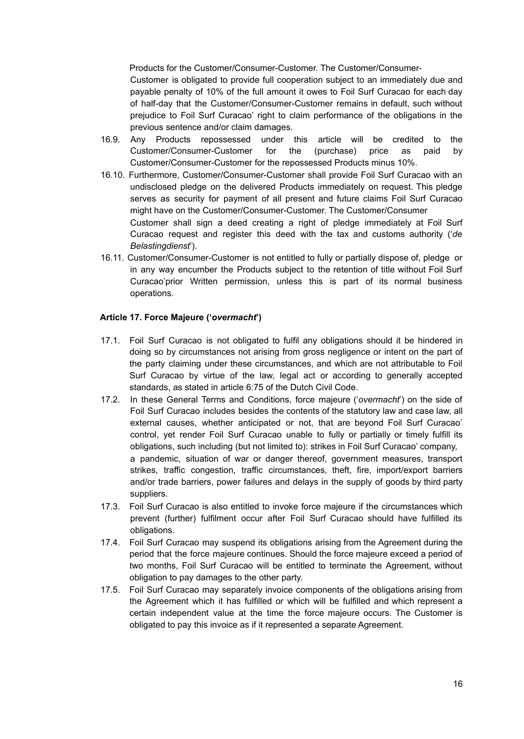Products for the Customer/Consumer-Customer. The Customer/Consumer-

Customer is obligated to provide full cooperation subject to an immediately due and payable penalty of 10% of the full amount it owes to Foil Surf Curacao for each day of half-day that the Customer/Consumer-Customer remains in default, such without prejudice to Foil Surf Curacao' right to claim performance of the obligations in the previous sentence and/or claim damages.

- 16.9. Any Products repossessed under this article will be credited to the Customer/Consumer-Customer for the (purchase) price as paid by Customer/Consumer-Customer for the repossessed Products minus 10%.
- 16.10. Furthermore, Customer/Consumer-Customer shall provide Foil Surf Curacao with an undisclosed pledge on the delivered Products immediately on request. This pledge serves as security for payment of all present and future claims Foil Surf Curacao might have on the Customer/Consumer-Customer. The Customer/Consumer Customer shall sign a deed creating a right of pledge immediately at Foil Surf Curacao request and register this deed with the tax and customs authority ('*de Belastingdienst*').
- 16.11. Customer/Consumer-Customer is not entitled to fully or partially dispose of, pledge or in any way encumber the Products subject to the retention of title without Foil Surf Curacao'prior Written permission, unless this is part of its normal business operations.

### **Article 17. Force Majeure ('***overmacht***')**

- 17.1. Foil Surf Curacao is not obligated to fulfil any obligations should it be hindered in doing so by circumstances not arising from gross negligence or intent on the part of the party claiming under these circumstances, and which are not attributable to Foil Surf Curacao by virtue of the law, legal act or according to generally accepted standards, as stated in article 6:75 of the Dutch Civil Code.
- 17.2. In these General Terms and Conditions, force majeure ('*overmacht*') on the side of Foil Surf Curacao includes besides the contents of the statutory law and case law, all external causes, whether anticipated or not, that are beyond Foil Surf Curacao' control, yet render Foil Surf Curacao unable to fully or partially or timely fulfill its obligations, such including (but not limited to): strikes in Foil Surf Curacao' company, a pandemic, situation of war or danger thereof, government measures, transport strikes, traffic congestion, traffic circumstances, theft, fire, import/export barriers and/or trade barriers, power failures and delays in the supply of goods by third party suppliers.
- 17.3. Foil Surf Curacao is also entitled to invoke force majeure if the circumstances which prevent (further) fulfilment occur after Foil Surf Curacao should have fulfilled its obligations.
- 17.4. Foil Surf Curacao may suspend its obligations arising from the Agreement during the period that the force majeure continues. Should the force majeure exceed a period of two months, Foil Surf Curacao will be entitled to terminate the Agreement, without obligation to pay damages to the other party.
- 17.5. Foil Surf Curacao may separately invoice components of the obligations arising from the Agreement which it has fulfilled or which will be fulfilled and which represent a certain independent value at the time the force majeure occurs. The Customer is obligated to pay this invoice as if it represented a separate Agreement.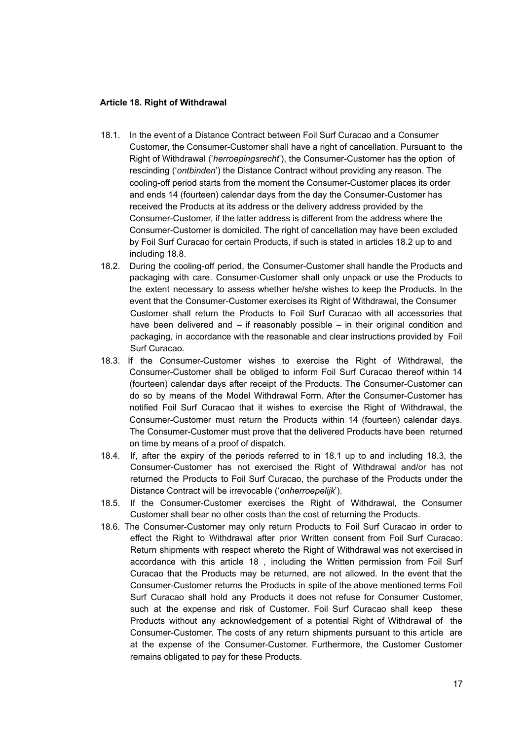#### **Article 18. Right of Withdrawal**

- 18.1. In the event of a Distance Contract between Foil Surf Curacao and a Consumer Customer, the Consumer-Customer shall have a right of cancellation. Pursuant to the Right of Withdrawal ('*herroepingsrecht*'), the Consumer-Customer has the option of rescinding ('*ontbinden*') the Distance Contract without providing any reason. The cooling-off period starts from the moment the Consumer-Customer places its order and ends 14 (fourteen) calendar days from the day the Consumer-Customer has received the Products at its address or the delivery address provided by the Consumer-Customer, if the latter address is different from the address where the Consumer-Customer is domiciled. The right of cancellation may have been excluded by Foil Surf Curacao for certain Products, if such is stated in articles 18.2 up to and including 18.8.
- 18.2. During the cooling-off period, the Consumer-Customer shall handle the Products and packaging with care. Consumer-Customer shall only unpack or use the Products to the extent necessary to assess whether he/she wishes to keep the Products. In the event that the Consumer-Customer exercises its Right of Withdrawal, the Consumer Customer shall return the Products to Foil Surf Curacao with all accessories that have been delivered and – if reasonably possible – in their original condition and packaging, in accordance with the reasonable and clear instructions provided by Foil Surf Curacao.
- 18.3. If the Consumer-Customer wishes to exercise the Right of Withdrawal, the Consumer-Customer shall be obliged to inform Foil Surf Curacao thereof within 14 (fourteen) calendar days after receipt of the Products. The Consumer-Customer can do so by means of the Model Withdrawal Form. After the Consumer-Customer has notified Foil Surf Curacao that it wishes to exercise the Right of Withdrawal, the Consumer-Customer must return the Products within 14 (fourteen) calendar days. The Consumer-Customer must prove that the delivered Products have been returned on time by means of a proof of dispatch.
- 18.4. If, after the expiry of the periods referred to in 18.1 up to and including 18.3, the Consumer-Customer has not exercised the Right of Withdrawal and/or has not returned the Products to Foil Surf Curacao, the purchase of the Products under the Distance Contract will be irrevocable ('*onherroepelijk*').
- 18.5. If the Consumer-Customer exercises the Right of Withdrawal, the Consumer Customer shall bear no other costs than the cost of returning the Products.
- 18.6. The Consumer-Customer may only return Products to Foil Surf Curacao in order to effect the Right to Withdrawal after prior Written consent from Foil Surf Curacao. Return shipments with respect whereto the Right of Withdrawal was not exercised in accordance with this article 18 , including the Written permission from Foil Surf Curacao that the Products may be returned, are not allowed. In the event that the Consumer-Customer returns the Products in spite of the above mentioned terms Foil Surf Curacao shall hold any Products it does not refuse for Consumer Customer, such at the expense and risk of Customer. Foil Surf Curacao shall keep these Products without any acknowledgement of a potential Right of Withdrawal of the Consumer-Customer. The costs of any return shipments pursuant to this article are at the expense of the Consumer-Customer. Furthermore, the Customer Customer remains obligated to pay for these Products.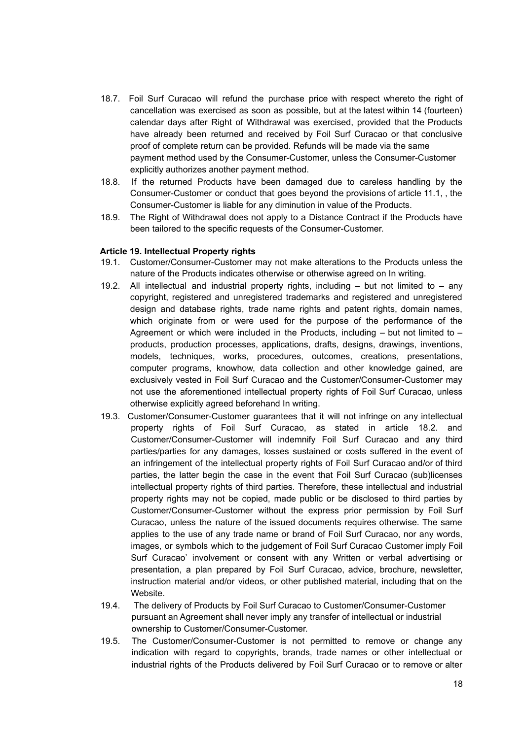- 18.7. Foil Surf Curacao will refund the purchase price with respect whereto the right of cancellation was exercised as soon as possible, but at the latest within 14 (fourteen) calendar days after Right of Withdrawal was exercised, provided that the Products have already been returned and received by Foil Surf Curacao or that conclusive proof of complete return can be provided. Refunds will be made via the same payment method used by the Consumer-Customer, unless the Consumer-Customer explicitly authorizes another payment method.
- 18.8. If the returned Products have been damaged due to careless handling by the Consumer-Customer or conduct that goes beyond the provisions of article 11.1, , the Consumer-Customer is liable for any diminution in value of the Products.
- 18.9. The Right of Withdrawal does not apply to a Distance Contract if the Products have been tailored to the specific requests of the Consumer-Customer.

#### **Article 19. Intellectual Property rights**

- 19.1. Customer/Consumer-Customer may not make alterations to the Products unless the nature of the Products indicates otherwise or otherwise agreed on In writing.
- 19.2. All intellectual and industrial property rights, including but not limited to any copyright, registered and unregistered trademarks and registered and unregistered design and database rights, trade name rights and patent rights, domain names, which originate from or were used for the purpose of the performance of the Agreement or which were included in the Products, including  $-$  but not limited to  $$ products, production processes, applications, drafts, designs, drawings, inventions, models, techniques, works, procedures, outcomes, creations, presentations, computer programs, knowhow, data collection and other knowledge gained, are exclusively vested in Foil Surf Curacao and the Customer/Consumer-Customer may not use the aforementioned intellectual property rights of Foil Surf Curacao, unless otherwise explicitly agreed beforehand In writing.
- 19.3. Customer/Consumer-Customer guarantees that it will not infringe on any intellectual property rights of Foil Surf Curacao, as stated in article 18.2. and Customer/Consumer-Customer will indemnify Foil Surf Curacao and any third parties/parties for any damages, losses sustained or costs suffered in the event of an infringement of the intellectual property rights of Foil Surf Curacao and/or of third parties, the latter begin the case in the event that Foil Surf Curacao (sub)licenses intellectual property rights of third parties. Therefore, these intellectual and industrial property rights may not be copied, made public or be disclosed to third parties by Customer/Consumer-Customer without the express prior permission by Foil Surf Curacao, unless the nature of the issued documents requires otherwise. The same applies to the use of any trade name or brand of Foil Surf Curacao, nor any words, images, or symbols which to the judgement of Foil Surf Curacao Customer imply Foil Surf Curacao' involvement or consent with any Written or verbal advertising or presentation, a plan prepared by Foil Surf Curacao, advice, brochure, newsletter, instruction material and/or videos, or other published material, including that on the **Website**
- 19.4. The delivery of Products by Foil Surf Curacao to Customer/Consumer-Customer pursuant an Agreement shall never imply any transfer of intellectual or industrial ownership to Customer/Consumer-Customer.
- 19.5. The Customer/Consumer-Customer is not permitted to remove or change any indication with regard to copyrights, brands, trade names or other intellectual or industrial rights of the Products delivered by Foil Surf Curacao or to remove or alter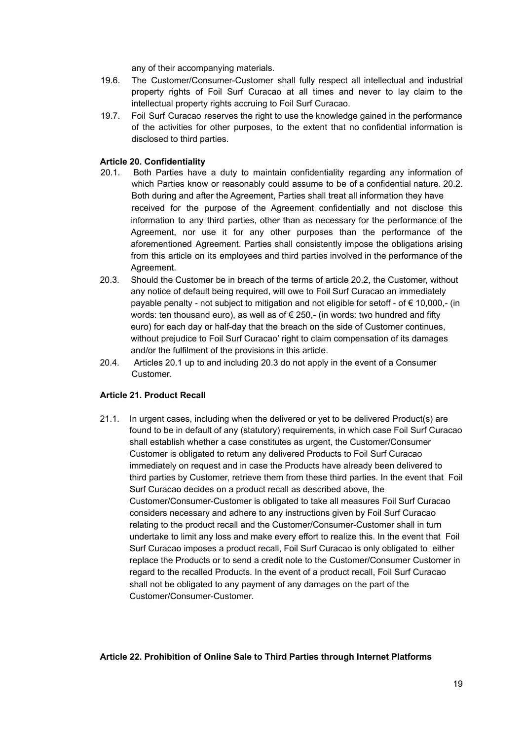any of their accompanying materials.

- 19.6. The Customer/Consumer-Customer shall fully respect all intellectual and industrial property rights of Foil Surf Curacao at all times and never to lay claim to the intellectual property rights accruing to Foil Surf Curacao.
- 19.7. Foil Surf Curacao reserves the right to use the knowledge gained in the performance of the activities for other purposes, to the extent that no confidential information is disclosed to third parties.

### **Article 20. Confidentiality**

- 20.1. Both Parties have a duty to maintain confidentiality regarding any information of which Parties know or reasonably could assume to be of a confidential nature. 20.2. Both during and after the Agreement, Parties shall treat all information they have received for the purpose of the Agreement confidentially and not disclose this information to any third parties, other than as necessary for the performance of the Agreement, nor use it for any other purposes than the performance of the aforementioned Agreement. Parties shall consistently impose the obligations arising from this article on its employees and third parties involved in the performance of the Agreement.
- 20.3. Should the Customer be in breach of the terms of article 20.2, the Customer, without any notice of default being required, will owe to Foil Surf Curacao an immediately payable penalty - not subject to mitigation and not eligible for setoff - of € 10,000,- (in words: ten thousand euro), as well as of  $\epsilon$  250,- (in words; two hundred and fifty euro) for each day or half-day that the breach on the side of Customer continues, without prejudice to Foil Surf Curacao' right to claim compensation of its damages and/or the fulfilment of the provisions in this article.
- 20.4. Articles 20.1 up to and including 20.3 do not apply in the event of a Consumer Customer.

# **Article 21. Product Recall**

21.1. In urgent cases, including when the delivered or yet to be delivered Product(s) are found to be in default of any (statutory) requirements, in which case Foil Surf Curacao shall establish whether a case constitutes as urgent, the Customer/Consumer Customer is obligated to return any delivered Products to Foil Surf Curacao immediately on request and in case the Products have already been delivered to third parties by Customer, retrieve them from these third parties. In the event that Foil Surf Curacao decides on a product recall as described above, the Customer/Consumer-Customer is obligated to take all measures Foil Surf Curacao considers necessary and adhere to any instructions given by Foil Surf Curacao relating to the product recall and the Customer/Consumer-Customer shall in turn undertake to limit any loss and make every effort to realize this. In the event that Foil Surf Curacao imposes a product recall, Foil Surf Curacao is only obligated to either replace the Products or to send a credit note to the Customer/Consumer Customer in regard to the recalled Products. In the event of a product recall, Foil Surf Curacao shall not be obligated to any payment of any damages on the part of the Customer/Consumer-Customer.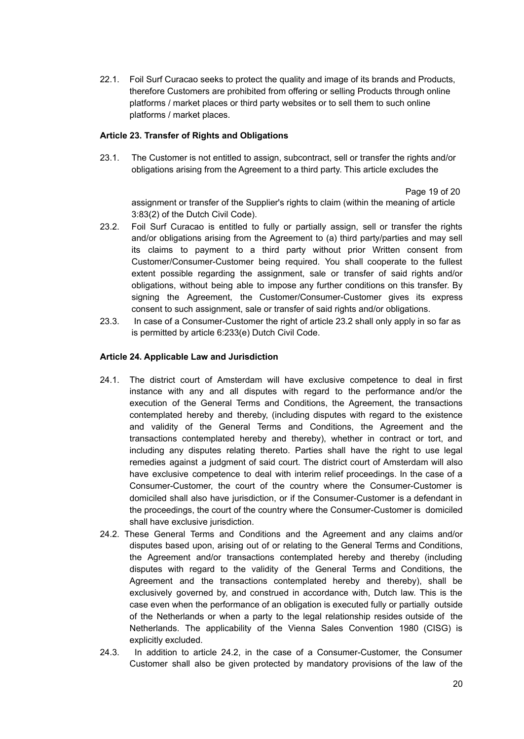22.1. Foil Surf Curacao seeks to protect the quality and image of its brands and Products, therefore Customers are prohibited from offering or selling Products through online platforms / market places or third party websites or to sell them to such online platforms / market places.

### **Article 23. Transfer of Rights and Obligations**

23.1. The Customer is not entitled to assign, subcontract, sell or transfer the rights and/or obligations arising from the Agreement to a third party. This article excludes the

#### Page 19 of 20

assignment or transfer of the Supplier's rights to claim (within the meaning of article 3:83(2) of the Dutch Civil Code).

- 23.2. Foil Surf Curacao is entitled to fully or partially assign, sell or transfer the rights and/or obligations arising from the Agreement to (a) third party/parties and may sell its claims to payment to a third party without prior Written consent from Customer/Consumer-Customer being required. You shall cooperate to the fullest extent possible regarding the assignment, sale or transfer of said rights and/or obligations, without being able to impose any further conditions on this transfer. By signing the Agreement, the Customer/Consumer-Customer gives its express consent to such assignment, sale or transfer of said rights and/or obligations.
- 23.3. In case of a Consumer-Customer the right of article 23.2 shall only apply in so far as is permitted by article 6:233(e) Dutch Civil Code.

### **Article 24. Applicable Law and Jurisdiction**

- 24.1. The district court of Amsterdam will have exclusive competence to deal in first instance with any and all disputes with regard to the performance and/or the execution of the General Terms and Conditions, the Agreement, the transactions contemplated hereby and thereby, (including disputes with regard to the existence and validity of the General Terms and Conditions, the Agreement and the transactions contemplated hereby and thereby), whether in contract or tort, and including any disputes relating thereto. Parties shall have the right to use legal remedies against a judgment of said court. The district court of Amsterdam will also have exclusive competence to deal with interim relief proceedings. In the case of a Consumer-Customer, the court of the country where the Consumer-Customer is domiciled shall also have jurisdiction, or if the Consumer-Customer is a defendant in the proceedings, the court of the country where the Consumer-Customer is domiciled shall have exclusive jurisdiction.
- 24.2. These General Terms and Conditions and the Agreement and any claims and/or disputes based upon, arising out of or relating to the General Terms and Conditions, the Agreement and/or transactions contemplated hereby and thereby (including disputes with regard to the validity of the General Terms and Conditions, the Agreement and the transactions contemplated hereby and thereby), shall be exclusively governed by, and construed in accordance with, Dutch law. This is the case even when the performance of an obligation is executed fully or partially outside of the Netherlands or when a party to the legal relationship resides outside of the Netherlands. The applicability of the Vienna Sales Convention 1980 (CISG) is explicitly excluded.
- 24.3. In addition to article 24.2, in the case of a Consumer-Customer, the Consumer Customer shall also be given protected by mandatory provisions of the law of the